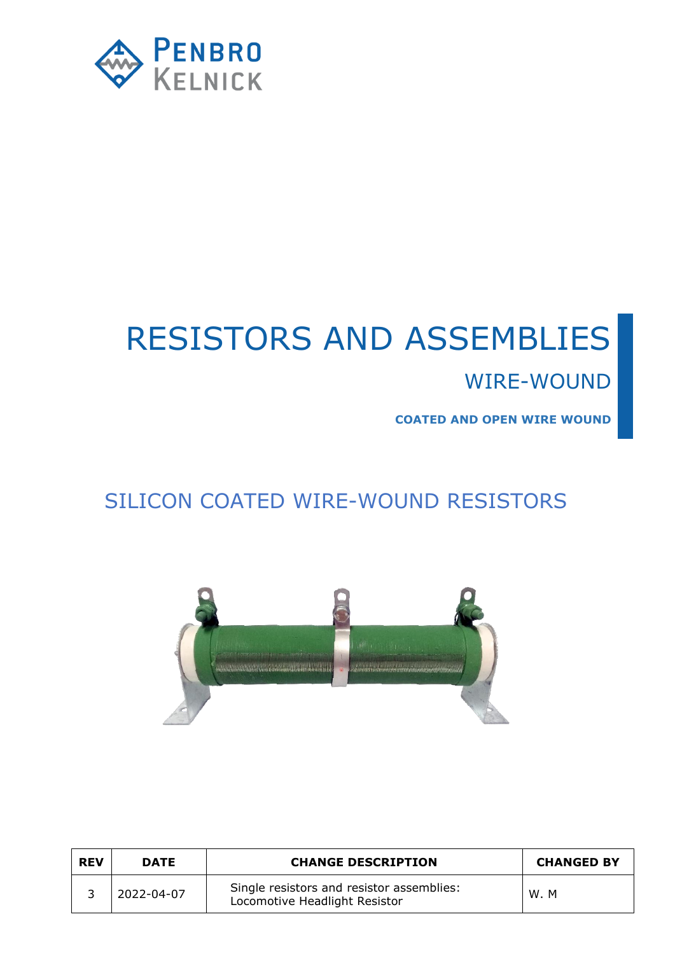

# RESISTORS AND ASSEMBLIES

### WIRE-WOUND

**COATED AND OPEN WIRE WOUND**

# SILICON COATED WIRE-WOUND RESISTORS



| <b>REV</b> | <b>DATE</b> | <b>CHANGE DESCRIPTION</b>                                                  | <b>CHANGED BY</b> |
|------------|-------------|----------------------------------------------------------------------------|-------------------|
|            | 2022-04-07  | Single resistors and resistor assemblies:<br>Locomotive Headlight Resistor | W.M               |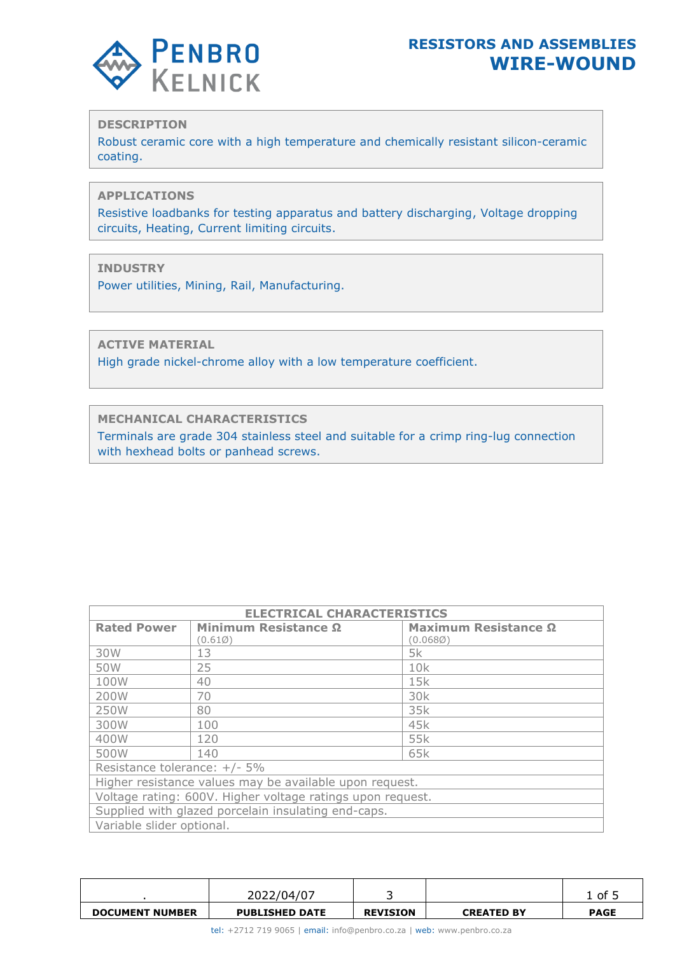

#### **DESCRIPTION**

Robust ceramic core with a high temperature and chemically resistant silicon-ceramic coating.

#### **APPLICATIONS**

Resistive loadbanks for testing apparatus and battery discharging, Voltage dropping circuits, Heating, Current limiting circuits.

#### **INDUSTRY**

Power utilities, Mining, Rail, Manufacturing.

**ACTIVE MATERIAL**

High grade nickel-chrome alloy with a low temperature coefficient.

**MECHANICAL CHARACTERISTICS**

Terminals are grade 304 stainless steel and suitable for a crimp ring-lug connection with hexhead bolts or panhead screws.

| <b>ELECTRICAL CHARACTERISTICS</b> |                                                            |                      |  |  |  |  |
|-----------------------------------|------------------------------------------------------------|----------------------|--|--|--|--|
| <b>Rated Power</b>                | Minimum Resistance Ω                                       | Maximum Resistance Ω |  |  |  |  |
|                                   | (0.610)                                                    | (0.068Ø)             |  |  |  |  |
| 30W                               | 13                                                         | 5k                   |  |  |  |  |
| 50W                               | 25                                                         | 10k                  |  |  |  |  |
| 100W                              | 40                                                         | 15k                  |  |  |  |  |
| 200W                              | 70                                                         | 30 <sub>k</sub>      |  |  |  |  |
| 250W                              | 80                                                         | 35k                  |  |  |  |  |
| 300W                              | 100                                                        | 45k                  |  |  |  |  |
| 400W                              | 120                                                        | 55k                  |  |  |  |  |
| 500W                              | 140                                                        | 65k                  |  |  |  |  |
| Resistance tolerance: +/- 5%      |                                                            |                      |  |  |  |  |
|                                   | Higher resistance values may be available upon request.    |                      |  |  |  |  |
|                                   | Voltage rating: 600V. Higher voltage ratings upon request. |                      |  |  |  |  |
|                                   | Supplied with glazed porcelain insulating end-caps.        |                      |  |  |  |  |
| Variable slider optional.         |                                                            |                      |  |  |  |  |

|                        | 2022/04/07            |                 |                   | of          |
|------------------------|-----------------------|-----------------|-------------------|-------------|
| <b>DOCUMENT NUMBER</b> | <b>PUBLISHED DATE</b> | <b>REVISION</b> | <b>CREATED BY</b> | <b>PAGE</b> |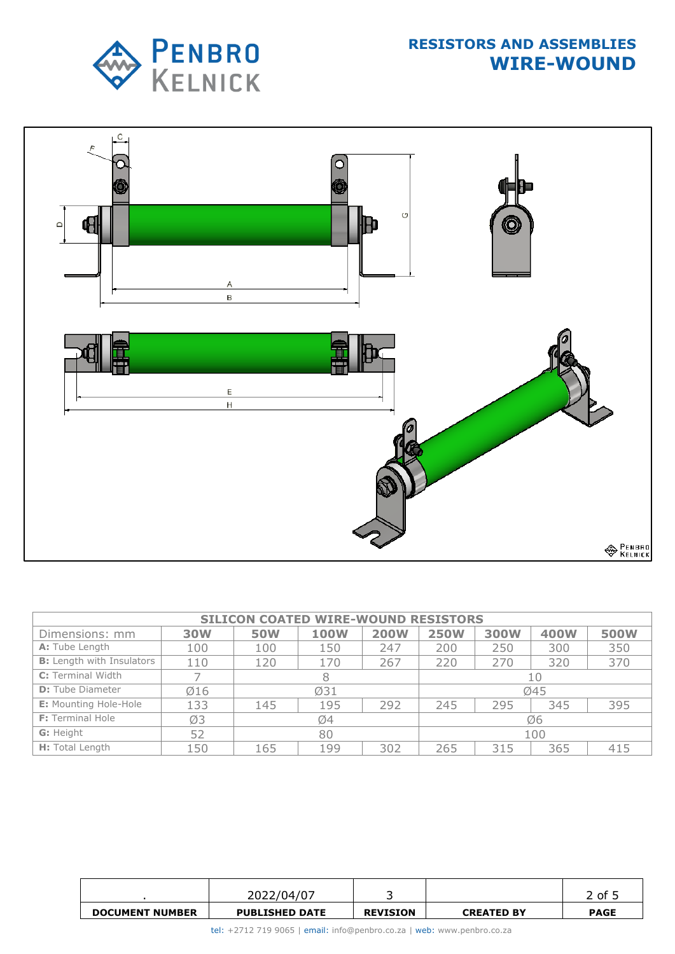



| <b>SILICON COATED WIRE-WOUND RESISTORS</b> |            |            |             |             |             |             |             |             |
|--------------------------------------------|------------|------------|-------------|-------------|-------------|-------------|-------------|-------------|
| Dimensions: mm                             | <b>30W</b> | <b>50W</b> | <b>100W</b> | <b>200W</b> | <b>250W</b> | <b>300W</b> | <b>400W</b> | <b>500W</b> |
| A: Tube Length                             | 100        | 100        | 150         | 247         | 200         | 250         | 300         | 350         |
| <b>B:</b> Length with Insulators           | 110        | 120        | 170         | 267         | 220         | 270         | 320         | 370         |
| C: Terminal Width                          |            |            |             |             | 10          |             |             |             |
| <b>D:</b> Tube Diameter                    | Ø16        |            | Ø31         |             | Ø45         |             |             |             |
| <b>E:</b> Mounting Hole-Hole               | 133        | 145        | 195         | 292         | 245         | 295         | 345         | 395         |
| <b>F:</b> Terminal Hole                    | Ø3         | Ø4         |             |             |             | Ø6          |             |             |
| G: Height                                  | 52         | 80         |             |             |             | 100         |             |             |
| H: Total Length                            | 150        | 165        | 199         | 302         | 265         | 315         | 365         | 415         |

|                        | 2022/04/07            |                 |                   | ?of 」       |
|------------------------|-----------------------|-----------------|-------------------|-------------|
| <b>DOCUMENT NUMBER</b> | <b>PUBLISHED DATE</b> | <b>REVISION</b> | <b>CREATED BY</b> | <b>PAGE</b> |

tel: +2712 719 9065 | email: [info@penbro.co.za](mailto:info@penbro.co.za) | web: [www.penbro.co.za](http://www.penbro.co.za/)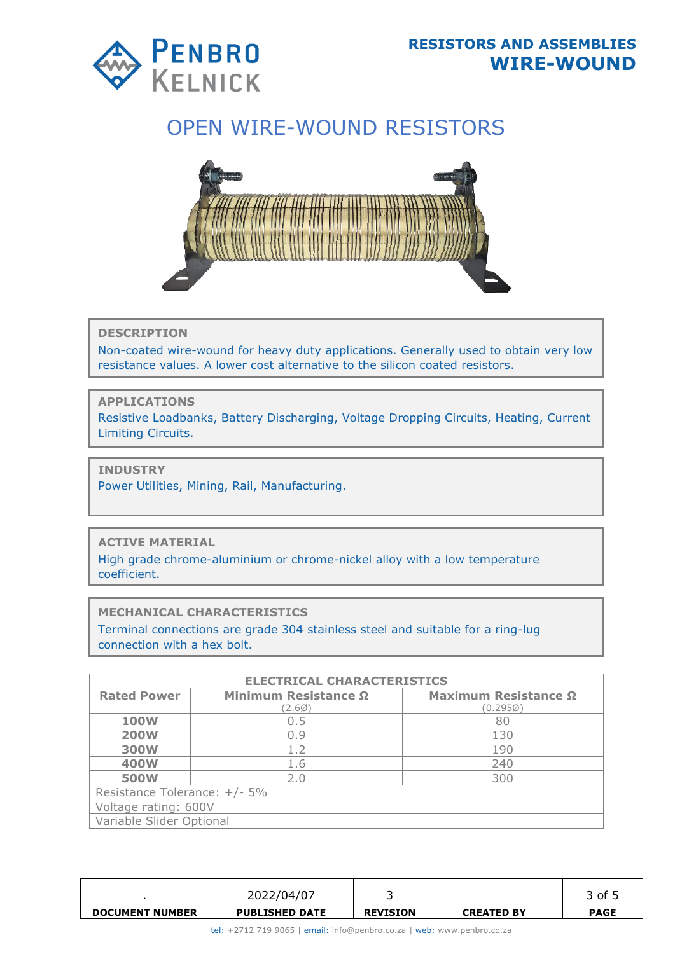

# OPEN WIRE-WOUND RESISTORS



**DESCRIPTION**

Non-coated wire-wound for heavy duty applications. Generally used to obtain very low resistance values. A lower cost alternative to the silicon coated resistors.

**APPLICATIONS**

Resistive Loadbanks, Battery Discharging, Voltage Dropping Circuits, Heating, Current Limiting Circuits.

**INDUSTRY**

Power Utilities, Mining, Rail, Manufacturing.

**ACTIVE MATERIAL**

High grade chrome-aluminium or chrome-nickel alloy with a low temperature coefficient.

**MECHANICAL CHARACTERISTICS**

Terminal connections are grade 304 stainless steel and suitable for a ring-lug connection with a hex bolt.

| <b>ELECTRICAL CHARACTERISTICS</b> |                      |                      |  |  |  |  |  |  |
|-----------------------------------|----------------------|----------------------|--|--|--|--|--|--|
| <b>Rated Power</b>                | Minimum Resistance Ω | Maximum Resistance Ω |  |  |  |  |  |  |
|                                   | (2.60)               | $(0.295\%)$          |  |  |  |  |  |  |
| <b>100W</b>                       | 0.5                  | 80                   |  |  |  |  |  |  |
| <b>200W</b>                       | 0.9                  | 130                  |  |  |  |  |  |  |
| <b>300W</b>                       | 1.2                  | 190                  |  |  |  |  |  |  |
| <b>400W</b>                       | 1.6                  | 240                  |  |  |  |  |  |  |
| <b>500W</b>                       | 2.0                  | 300                  |  |  |  |  |  |  |
| Resistance Tolerance: +/- 5%      |                      |                      |  |  |  |  |  |  |
| Voltage rating: 600V              |                      |                      |  |  |  |  |  |  |
| Variable Slider Optional          |                      |                      |  |  |  |  |  |  |

|                        | 2022/04/07            |                 |                   | 3 of !      |
|------------------------|-----------------------|-----------------|-------------------|-------------|
| <b>DOCUMENT NUMBER</b> | <b>PUBLISHED DATE</b> | <b>REVISION</b> | <b>CREATED BY</b> | <b>PAGE</b> |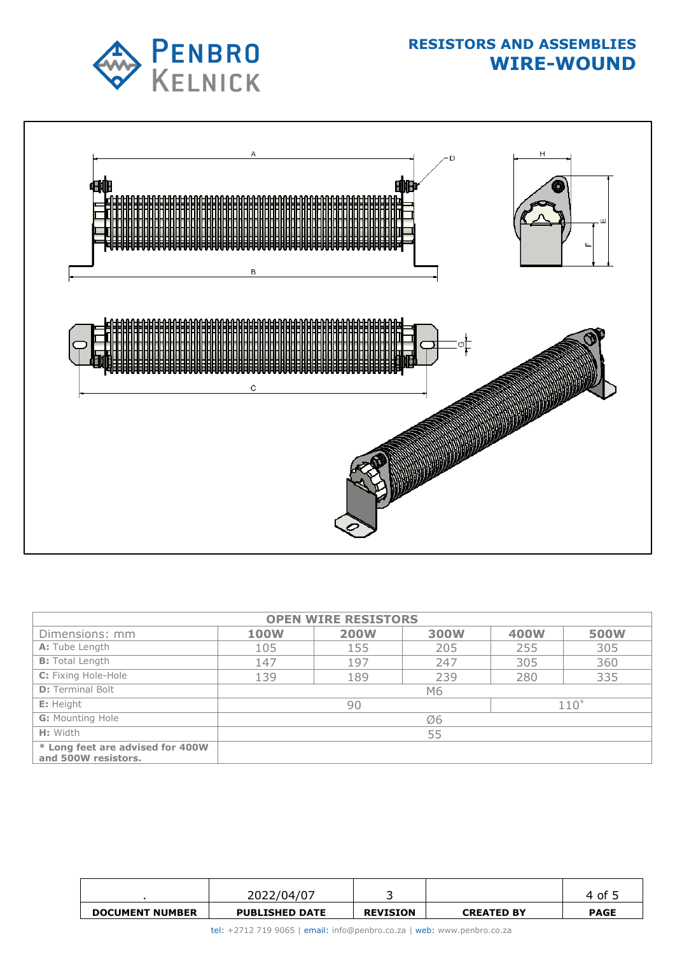



| <b>OPEN WIRE RESISTORS</b>                              |             |             |             |             |             |  |  |
|---------------------------------------------------------|-------------|-------------|-------------|-------------|-------------|--|--|
| Dimensions: mm                                          | <b>100W</b> | <b>200W</b> | <b>300W</b> | <b>400W</b> | <b>500W</b> |  |  |
| A: Tube Length                                          | 105         | 155         | 205         | 255         | 305         |  |  |
| <b>B:</b> Total Length                                  | 147         | 197         | 247         | 305         | 360         |  |  |
| C: Fixing Hole-Hole                                     | 139         | 189         | 239         | 280         | 335         |  |  |
| <b>D:</b> Terminal Bolt                                 |             |             | M6          |             |             |  |  |
| E: Height                                               |             | 90          |             |             | $110*$      |  |  |
| <b>G:</b> Mounting Hole                                 | Ø6          |             |             |             |             |  |  |
| H: Width                                                | 55          |             |             |             |             |  |  |
| * Long feet are advised for 400W<br>and 500W resistors. |             |             |             |             |             |  |  |

|                        | 2022/04/07            |                 |                   | 4 of 1      |
|------------------------|-----------------------|-----------------|-------------------|-------------|
| <b>DOCUMENT NUMBER</b> | <b>PUBLISHED DATE</b> | <b>REVISION</b> | <b>CREATED BY</b> | <b>PAGE</b> |